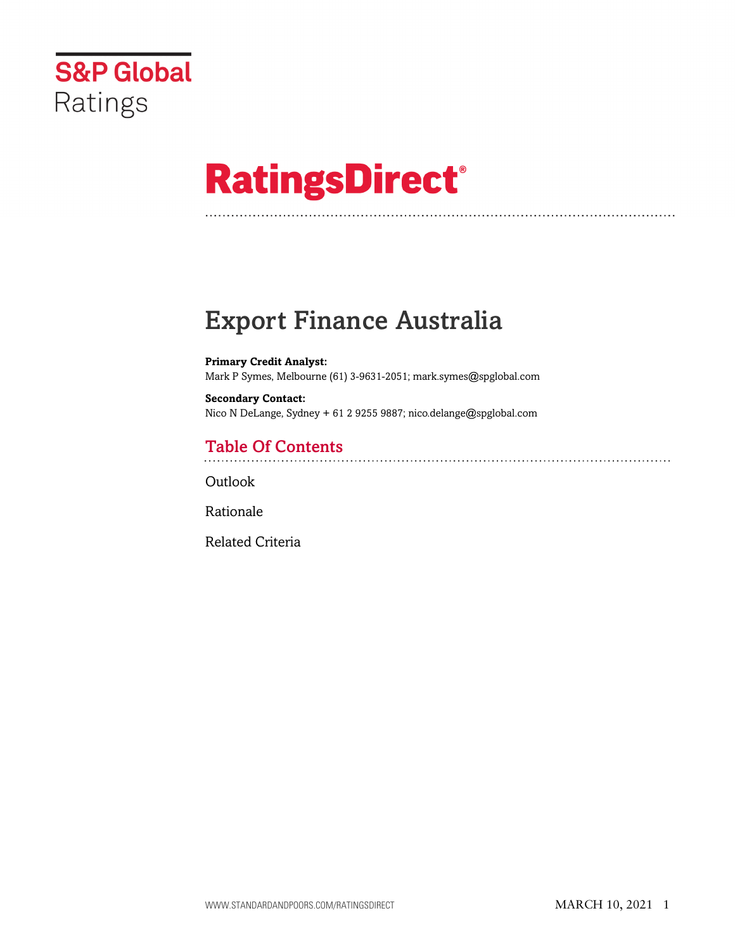

# **RatingsDirect®**

# Export Finance Australia

**Primary Credit Analyst:** Mark P Symes, Melbourne (61) 3-9631-2051; mark.symes@spglobal.com

**Secondary Contact:** Nico N DeLange, Sydney + 61 2 9255 9887; nico.delange@spglobal.com

### Table Of Contents

Outlook

[Rationale](#page-1-0)

[Related Criteria](#page-2-0)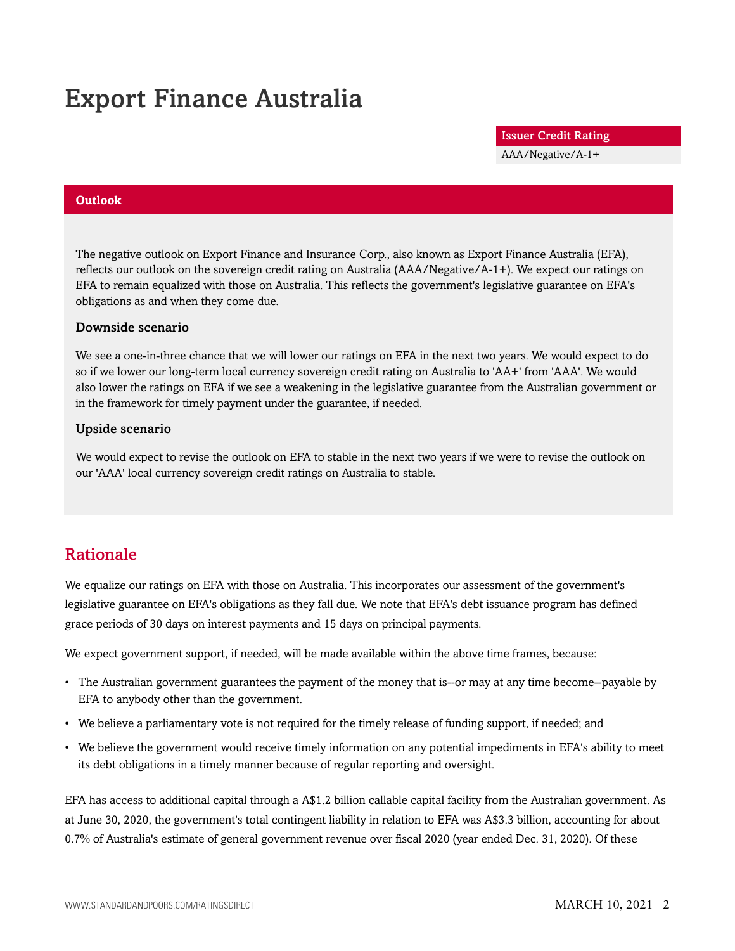## Export Finance Australia

Issuer Credit Rating

AAA/Negative/A-1+

#### **Outlook**

The negative outlook on Export Finance and Insurance Corp., also known as Export Finance Australia (EFA), reflects our outlook on the sovereign credit rating on Australia (AAA/Negative/A-1+). We expect our ratings on EFA to remain equalized with those on Australia. This reflects the government's legislative guarantee on EFA's obligations as and when they come due.

#### Downside scenario

We see a one-in-three chance that we will lower our ratings on EFA in the next two years. We would expect to do so if we lower our long-term local currency sovereign credit rating on Australia to 'AA+' from 'AAA'. We would also lower the ratings on EFA if we see a weakening in the legislative guarantee from the Australian government or in the framework for timely payment under the guarantee, if needed.

#### Upside scenario

We would expect to revise the outlook on EFA to stable in the next two years if we were to revise the outlook on our 'AAA' local currency sovereign credit ratings on Australia to stable.

### <span id="page-1-0"></span>Rationale

We equalize our ratings on EFA with those on Australia. This incorporates our assessment of the government's legislative guarantee on EFA's obligations as they fall due. We note that EFA's debt issuance program has defined grace periods of 30 days on interest payments and 15 days on principal payments.

We expect government support, if needed, will be made available within the above time frames, because:

- The Australian government guarantees the payment of the money that is--or may at any time become--payable by EFA to anybody other than the government.
- We believe a parliamentary vote is not required for the timely release of funding support, if needed; and
- We believe the government would receive timely information on any potential impediments in EFA's ability to meet its debt obligations in a timely manner because of regular reporting and oversight.

EFA has access to additional capital through a A\$1.2 billion callable capital facility from the Australian government. As at June 30, 2020, the government's total contingent liability in relation to EFA was A\$3.3 billion, accounting for about 0.7% of Australia's estimate of general government revenue over fiscal 2020 (year ended Dec. 31, 2020). Of these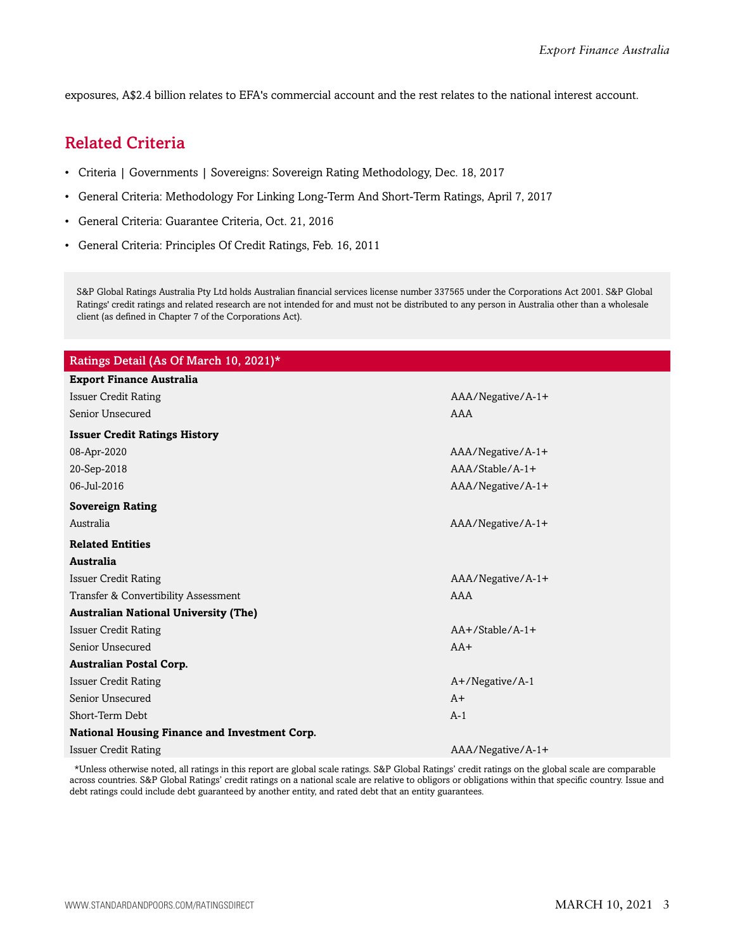<span id="page-2-0"></span>exposures, A\$2.4 billion relates to EFA's commercial account and the rest relates to the national interest account.

### Related Criteria

- Criteria | Governments | Sovereigns: Sovereign Rating Methodology, Dec. 18, 2017
- General Criteria: Methodology For Linking Long-Term And Short-Term Ratings, April 7, 2017
- General Criteria: Guarantee Criteria, Oct. 21, 2016
- General Criteria: Principles Of Credit Ratings, Feb. 16, 2011

S&P Global Ratings Australia Pty Ltd holds Australian financial services license number 337565 under the Corporations Act 2001. S&P Global Ratings' credit ratings and related research are not intended for and must not be distributed to any person in Australia other than a wholesale client (as defined in Chapter 7 of the Corporations Act).

| Ratings Detail (As Of March 10, 2021)*        |                    |
|-----------------------------------------------|--------------------|
| <b>Export Finance Australia</b>               |                    |
| <b>Issuer Credit Rating</b>                   | AAA/Negative/A-1+  |
| Senior Unsecured                              | AAA                |
| <b>Issuer Credit Ratings History</b>          |                    |
| 08-Apr-2020                                   | AAA/Negative/A-1+  |
| 20-Sep-2018                                   | $AA/Stable/A-1+$   |
| 06-Jul-2016                                   | AAA/Negative/A-1+  |
| <b>Sovereign Rating</b>                       |                    |
| Australia                                     | AAA/Negative/A-1+  |
| <b>Related Entities</b>                       |                    |
| Australia                                     |                    |
| <b>Issuer Credit Rating</b>                   | AAA/Negative/A-1+  |
| Transfer & Convertibility Assessment          | AAA                |
| <b>Australian National University (The)</b>   |                    |
| <b>Issuer Credit Rating</b>                   | $AA+/Stable/A-1+$  |
| Senior Unsecured                              | $AA+$              |
| <b>Australian Postal Corp.</b>                |                    |
| <b>Issuer Credit Rating</b>                   | $A+$ /Negative/A-1 |
| Senior Unsecured                              | $A+$               |
| Short-Term Debt                               | $A-1$              |
| National Housing Finance and Investment Corp. |                    |
| <b>Issuer Credit Rating</b>                   | AAA/Negative/A-1+  |

\*Unless otherwise noted, all ratings in this report are global scale ratings. S&P Global Ratings' credit ratings on the global scale are comparable across countries. S&P Global Ratings' credit ratings on a national scale are relative to obligors or obligations within that specific country. Issue and debt ratings could include debt guaranteed by another entity, and rated debt that an entity guarantees.